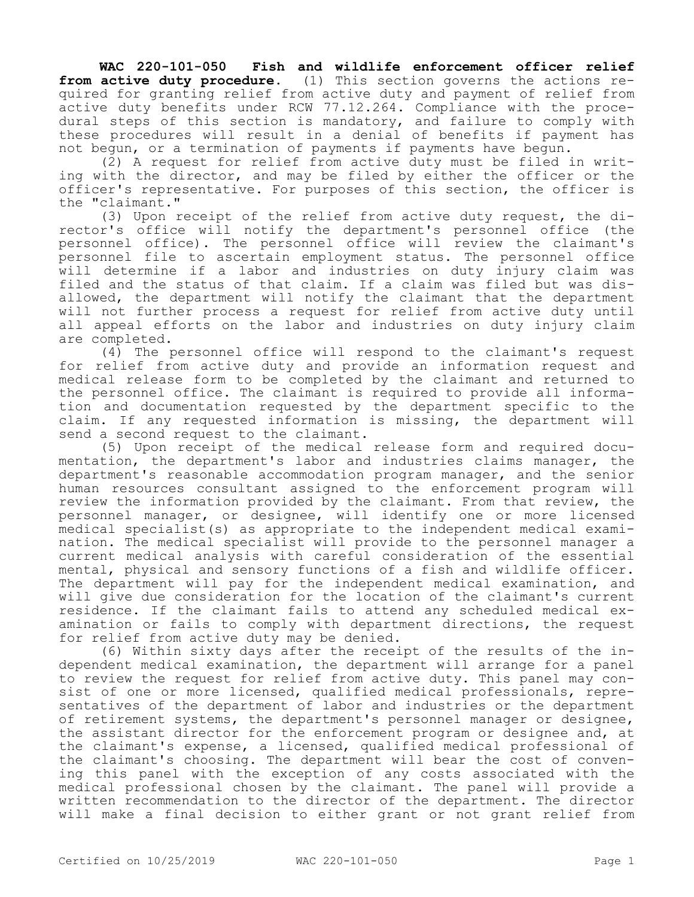**WAC 220-101-050 Fish and wildlife enforcement officer relief from active duty procedure.** (1) This section governs the actions required for granting relief from active duty and payment of relief from active duty benefits under RCW 77.12.264. Compliance with the procedural steps of this section is mandatory, and failure to comply with these procedures will result in a denial of benefits if payment has not begun, or a termination of payments if payments have begun.

(2) A request for relief from active duty must be filed in writing with the director, and may be filed by either the officer or the officer's representative. For purposes of this section, the officer is the "claimant."

(3) Upon receipt of the relief from active duty request, the director's office will notify the department's personnel office (the personnel office). The personnel office will review the claimant's personnel file to ascertain employment status. The personnel office will determine if a labor and industries on duty injury claim was filed and the status of that claim. If a claim was filed but was disallowed, the department will notify the claimant that the department will not further process a request for relief from active duty until all appeal efforts on the labor and industries on duty injury claim are completed.

(4) The personnel office will respond to the claimant's request for relief from active duty and provide an information request and medical release form to be completed by the claimant and returned to the personnel office. The claimant is required to provide all information and documentation requested by the department specific to the claim. If any requested information is missing, the department will send a second request to the claimant.

(5) Upon receipt of the medical release form and required documentation, the department's labor and industries claims manager, the department's reasonable accommodation program manager, and the senior human resources consultant assigned to the enforcement program will review the information provided by the claimant. From that review, the personnel manager, or designee, will identify one or more licensed medical specialist(s) as appropriate to the independent medical examination. The medical specialist will provide to the personnel manager a current medical analysis with careful consideration of the essential mental, physical and sensory functions of a fish and wildlife officer. The department will pay for the independent medical examination, and will give due consideration for the location of the claimant's current residence. If the claimant fails to attend any scheduled medical examination or fails to comply with department directions, the request for relief from active duty may be denied.

(6) Within sixty days after the receipt of the results of the independent medical examination, the department will arrange for a panel to review the request for relief from active duty. This panel may consist of one or more licensed, qualified medical professionals, representatives of the department of labor and industries or the department of retirement systems, the department's personnel manager or designee, the assistant director for the enforcement program or designee and, at the claimant's expense, a licensed, qualified medical professional of the claimant's choosing. The department will bear the cost of convening this panel with the exception of any costs associated with the medical professional chosen by the claimant. The panel will provide a written recommendation to the director of the department. The director will make a final decision to either grant or not grant relief from